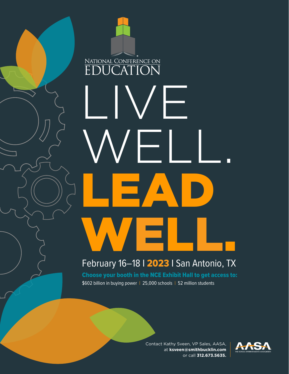# NATIONAL CONFERENCE ON ON LIVE WELL. LEAD WELL.

#### February 16–18 I 2023 I San Antonio, TX

Choose your booth in the NCE Exhibit Hall to get access to: \$602 billion in buying power | 25,000 schools | 52 million students

> Contact Kathy Sveen, VP Sales, AASA, at **ksveen@smithbucklin.com**  or call **312.673.5635.**

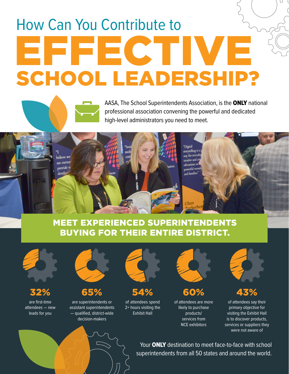## How Can You Contribute to EFFECTIVE SCHOOL LEADERSHIP?

AASA, The School Superintendents Association, is the ONLY national professional association convening the powerful and dedicated high-level administrators you need to meet.



Chan

"Digita storytelling way for ever creative and powerful reso and families.

#### MEET EXPERIENCED SUPERINTENDENTS BUYING FOR THEIR ENTIRE DISTRICT.



32%

are first-time attendees — new leads for you



- 65%
- are superintendents or assistant superintendents — qualified, district-wide decision-makers



- 54%
- of attendees spend 2+ hours visiting the Exhibit Hall



60% of attendees are more likely to purchase products/ services from NCE exhibitors



43%

of attendees say their primary objective for visiting the Exhibit Hall is to discover products, services or suppliers they were not aware of

Your ONLY destination to meet face-to-face with school superintendents from all 50 states and around the world.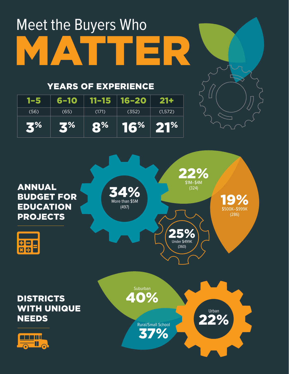## Meet the Buyers Who MATTER

#### YEARS OF EXPERIENCE

| 1-5  | 6–10      | 11-15 16-20       |                        | $21 +$   |
|------|-----------|-------------------|------------------------|----------|
| (56) | (65)      | (171)             | (352)                  | (1, 572) |
| 3%   | <b>3%</b> | $\mathbf{R}^{\%}$ | $16\%$ 21 <sup>%</sup> |          |

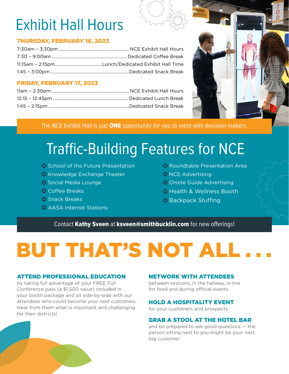## Exhibit Hall Hours

#### THURSDAY, FEBRUARY 16, 2023

#### FRIDAY, FEBRUARY 17, 2023



The NCE Exhibit Hall is just ONE opportunity for you to meet with decision-makers.

### Traffic-Building Features for NCE

- School of the Future Presentation
- C Knowledge Exchange Theater
- $\bullet$  Social Media Lounge
- **Ö**: Coffee Breaks
- **Ö** Snack Breaks
- AASA Internet Stations
- Roundtable Presentation Area **O** NCE Advertising Onsite Guide Advertising
- 
- Health & Wellness Booth
- **Backpack Stuffing**

Contact Kathy Sveen at ksveen@smithbucklin.com for new offerings!

## BUT THAT'S NOT ALL

#### ATTEND PROFESSIONAL EDUCATION

by taking full advantage of your FREE Full Conference pass (a \$1,500 value) included in your booth package and sit side-by-side with our attendees who could become your next customers. Hear from them what is important and challenging for their districts!

#### NETWORK WITH ATTENDEES

between sessions, in the hallway, in line for food and during official events.

#### HOLD A HOSPITALITY EVENT

for your customers and prospects.

#### GRAB A STOOL AT THE HOTEL BAR

and be prepared to ask good questions — the person sitting next to you might be your next big customer.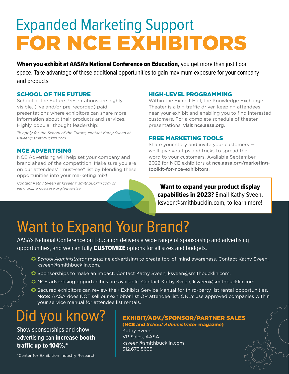## Expanded Marketing Support FOR NCE EXHIBITORS

When you exhibit at AASA's National Conference on Education, you get more than just floor space. Take advantage of these additional opportunities to gain maximum exposure for your company and products.

#### SCHOOL OF THE FUTURE

School of the Future Presentations are highly visible, (live and/or pre-recorded) paid presentations where exhibitors can share more information about their products and services. Highly popular thought leadership!

*To apply for the School of the Future, contact Kathy Sveen at ksveen@smithbucklin.com.*

#### NCE ADVERTISING

NCE Advertising will help set your company and brand ahead of the competition. Make sure you are on our attendees' "must-see" list by blending these opportunities into your marketing mix!

*Contact Kathy Sveen at ksveen@smithbucklin.com or view online nce.aasa.org/advertise.* 

#### HIGH-LEVEL PROGRAMMING

Within the Exhibit Hall, the Knowledge Exchange Theater is a big traffic driver, keeping attendees near your exhibit and enabling you to find interested customers. For a complete schedule of theater presentations, visit nce.aasa.org.

#### FREE MARKETING TOOLS

Share your story and invite your customers we'll give you tips and tricks to spread the word to your customers. Available September 2022 for NCE exhibitors at [nce.aasa.org/marketing](http://nce.aasa.org/marketing-toolkit-for-nce-exhibitors)[toolkit-for-nce-exhibitors](http://nce.aasa.org/marketing-toolkit-for-nce-exhibitors).

Want to expand your product display capabilities in 2023? Email Kathy Sveen, ksveen@smithbucklin.com, to learn more!

### Want to Expand Your Brand?

AASA's National Conference on Education delivers a wide range of sponsorship and advertising opportunities, and we can fully **CUSTOMIZE** options for all sizes and budgets.

- *School Administrator* magazine advertising to create top-of-mind awareness. Contact Kathy Sveen, ksveen@smithbucklin.com.
- Sponsorships to make an impact. Contact Kathy Sveen, ksveen@smithbucklin.com.
- NCE advertising opportunities are available. Contact Kathy Sveen, ksveen@smithbucklin.com.
- Secured exhibitors can review their Exhibits Service Manual for third-party list rental opportunities. Note: AASA does NOT sell our exhibitor list OR attendee list. ONLY use approved companies within your service manual for attendee list rentals.

### Did you know?

Show sponsorships and show advertising can *increase* booth traffic up to 104%.\*

\*Center for Exhibition Industry Research

#### EXHIBIT/ADV./SPONSOR/PARTNER SALES (NCE and *School Administrator* magazine)

Kathy Sveen VP Sales, AASA ksveen@smithbucklin.com 312.673.5635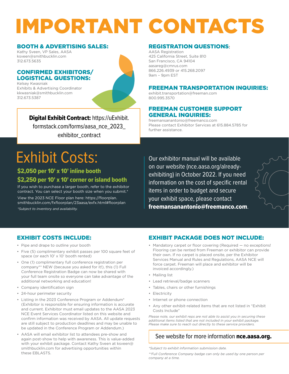## IMPORTANT CONTACTS

#### BOOTH & ADVERTISING SALES:

Kathy Sveen, VP Sales, AASA ksveen@smithbucklin.com 312.673.5635

#### CONFIRMED EXHIBITORS/ LOGISTICAL QUESTIONS:

Kelsey Kwasniak Exhibits & Advertising Coordinator kkwasniak@smithbucklin.com 312.673.5387



Digital Exhibit Contract: [https://uExhibit.](https://uExhibit.formstack.com/forms/aasa_nce_2023_exhibitor_contract) [formstack.com/forms/aasa\\_nce\\_2023\\_](https://uExhibit.formstack.com/forms/aasa_nce_2023_exhibitor_contract) [exhibitor\\_contract](https://uExhibit.formstack.com/forms/aasa_nce_2023_exhibitor_contract)

### Exhibit Costs:

 \$2,050 per 10' x 10' inline booth \$2,250 per 10' x 10' corner or island booth

If you wish to purchase a larger booth, refer to the exhibitor contract. You can select your booth size when you submit.\*

View the 2023 NCE Floor plan here: [https://floorplan.](https://floorplan.smithbucklin.com/fxfloorplan/23aasa/exfx.html#floorplan) [smithbucklin.com/fxfloorplan/23aasa/exfx.html#floorplan](https://floorplan.smithbucklin.com/fxfloorplan/23aasa/exfx.html#floorplan) *\*Subject to inventory and availability.*

#### REGISTRATION QUESTIONS:

AASA Registration 425 California Street, Suite 810 San Francisco, CA 94104 aasareg@cmrus.com 866.226.4939 or 415.268.2097 9am – 9pm EST

#### FREEMAN TRANSPORTATION INQUIRIES:

exhibit.transportation@freeman.com 800.995.3570

#### FREEMAN CUSTOMER SUPPORT GENERAL INQUIRIES:

freemansanantonio@freemanco.com Please contact Exhibitor Services at 615.884.5785 for further assistance.

Our exhibitor manual will be available on our website [\(nce.aasa.org/already](http://nce.aasa.org/already-exhibiting)[exhibiting\)](http://nce.aasa.org/already-exhibiting) in October 2022. If you need information on the cost of specific rental items in order to budget and secure your exhibit space, please contact freemansanantonio@freemanco.com.

#### EXHIBIT COSTS INCLUDE:

- Pipe and drape to outline your booth
- Five (5) complimentary exhibit passes per 100 square feet of space (or each 10' x 10' booth rented)
- One (1) complimentary full conference registration per company\*\* NEW (because you asked for it!), this (1) Full Conference Registration Badge can now be shared with your full team onsite so everyone can take advantage of the additional networking and education!
- Company identification sign
- 24-hour perimeter security
- Listing in the 2023 Conference Program or Addendum\* (Exhibitor is responsible for ensuring information is accurate and current. Exhibitor must email updates to the AASA 2023 NCE Event Services Coordinator listed on this website and confirm information was received by AASA. All update requests are still subject to production deadlines and may be unable to be updated in the Conference Program or Addendum.)
- AASA will email exhibitor list to attendees pre-show and again post-show to help with awareness. This is value-added with your exhibit package. Contact Kathy Sveen at ksveen@ smithbucklin.com for advertising opportunities within these EBLASTS.

#### EXHIBIT PACKAGE DOES NOT INCLUDE:

- Mandatory carpet or floor covering (Required no exceptions! Flooring can be rented from Freeman or exhibitor can provide their own. If no carpet is placed onsite, per the Exhibitor Services Manual and Rules and Regulations, AASA NCE will force carpet. Freeman will place and exhibitor will be invoiced accordingly.)
- Mailing list
- Lead retrieval/badge scanners
- Tables, chairs or other furnishings
- Electricity
- Internet or phone connection
- Any other exhibit-related items that are not listed in "Exhibit Costs Include"

*Please note, our exhibit reps are not able to assist you in securing these additional items listed that are not included in your exhibit package. Please make sure to reach out directly to these service providers.*

#### See website for more information **[nce.aasa.org](http://nce.aasa.org).**

*\*Subject to exhibit information submission date.*

*\*\*Full Conference Company badge can only be used by one person per company at a time.*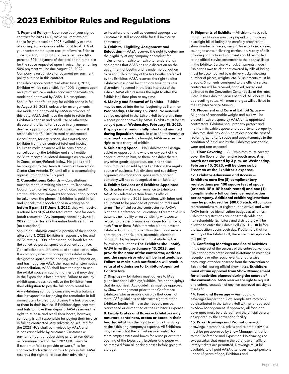#### 2023 Exhibitor Rules and Regulations

1. Payment Policy - Upon receipt of your signed contract for 2023 NCE, AASA will rent exhibit space for you based on 2023 availability at time of signing. You are responsible for at least 50% of your contract total upon receipt of invoice. Prior to June 1, 2022, all Exhibit Contracts require a fifty percent (50%) payment of the total booth rental fee for the space requested upon invoice. The remaining 50% payment will be due August 26, 2022. Company is responsible for payment per payment policy outlined in this contract.

For exhibit space contracted after June 1, 2022, Exhibitor will be responsible for 100% payment upon receipt of invoice — unless prior arrangements are made and approved by AASA. No exceptions. Should Exhibitor fail to pay for exhibit space in full by August 26, 2022, unless prior arrangements are made and approved by AASA in advance of this date, AASA shall have the right to retain the Exhibitor's deposit and resell, use or otherwise dispose of the Exhibitor's space in any manner deemed appropriate by AASA. Customer is still responsible for full invoice total as contracted.

Cancellation, for any reason, does not release Exhibitor from their contract total and invoice. Failure to make payment will be considered a cancellation by the Exhibitor and shall entitle AASA to recover liquidated damages as provided in Cancellations/Refunds below. No goods shall be brought into the Henry B. Gonzalez Convention Center (San Antonio, TX) until all bills accumulating against Exhibitor are fully paid.

2. Cancellations/Refunds — Cancellations must be made in writing via email to Tradeshow Coordinator, Kelsey Kwasniak at KKwasniak@ smithbucklin.com. Requests for cancellation cannot be taken over the phone. If Exhibitor is paid in full and cancels their booth space in writing on or before 5 p.m. EST, June 1, 2022, they will receive a refund less 50% of the total rental cost for each booth requested. Any company canceling June 1, 2022, or later forfeits the entire booth rental fee (no exceptions).

Should an Exhibitor cancel a portion of their space after June 1, 2022, Exhibitor is responsible for, and AASA retains, 100% of their original booth fee on the cancelled partial space as a cancellation fee. Cancellations are effective as of the date of receipt. If a company does not occupy and exhibit in the designated space at the opening of the Exposition, and has not given AASA the required written notice of cancellation, AASA shall have the right to use the exhibit space in such a manner as it may deem in the Exposition's best interest. Failure to occupy exhibit space does not relieve the Exhibitor from their obligation to pay the full booth rental fee.

Any exhibiting company canceling with a balance due is responsible for paying the remainder in full immediately by credit card using the link provided to them in their invoice. If Exhibitor signs contract and fails to make their deposit, AASA reserves the right to release and resell their booth, however, company is still responsible for paying their invoice in full as contracted. Any advertising secured for the 2023 NCE shall be invoiced by AASA and is non-cancellable by customer. Customer will pay full amount of advertising prior to run dates as communicated on their 2023 NCE invoice. If customer fails to provide artwork/files for contracted advertising or fails to pay in full, AASA reserves the right to release their advertising

to inventory and resell as deemed appropriate. Customer is still responsible for full invoice as contracted.

3. Exhibits, Eligibility, Assignment and

**Relocation** – AASA reserves the right to determine the eligibility of any company or product for inclusion as an Exhibitor. Exhibitor understands and agrees that AASA has sole discretion on the assignment of booths and is under no obligation to assign Exhibitor any of the five booths preferred by the Exhibitor. AASA reserves the right to alter Exhibitor's assigned location any time at its sole discretion if deemed in the best interests of the exhibit. AASA also reserves the right to alter the Exhibit Hall floor plan at any time.

4. Moving and Removal of Exhibits - Exhibits may be moved into the hall beginning at 8 a.m. on Wednesday, February 15, 2023. No materials can be accepted in the Exhibit Hall before this time without prior approval by AASA. Exhibits must be set up by 6 p.m. on Wednesday, February 15, 2023. Displays must remain fully intact and manned during Exposition hours. In case of attachments or other legal proceedings brought, AASA reserves the right to take charge of exhibits.

5. Subletting Space - No Exhibitor shall assign, sublet or apportion the whole or any part of the space allotted to him, or them, or exhibit therein, any other goods, apparatus, etc., than those manufactured or sold by the Exhibitor in the regular course of business. Sub-divisions and subsidiary organizations that share space with a parent company will not be recognized as an Exhibitor.

6. Exhibit Services and Exhibitor-Appointed Contractors - As a convenience to Exhibitors, AASA has selected certain firms as official contractors for the 2023 Exposition, with labor and equipment to be provided at prevailing rates and terms. The official service contractor for AASA's National Conference on Education is Freeman. AASA assumes no liability or responsibility whatsoever related to the performance or non-performance by such firm or firms. Exhibitors who plan to have an Exhibitor Contractor (other than the official service contractor) unpack, erect, assemble, dismantle and pack display/equipment must abide by the following regulations: The Exhibitor shall notify AASA in writing by January 13, 2023, and provide the name of the contractor, address and the supervisor who will be in attendance. Failure to make such notification will result in refusal of admission to Exhibitor-Appointed Contractors.

7. Displays - Exhibitors must adhere to IAEE guidelines for all displays/exhibits. Exhibitor displays that do not meet IAEE guidelines must be approved by Show Management prior to the Conference. Exhibitors who assemble a display that does not meet IAEE guidelines or obstructs sight to other Exhibitor booths will have their booths moved, rearranged or dismantled at the Exhibitor's expense.

8. Empty Crates and Boxes — Exhibitors may not store containers, crates or boxes in their **booths.** AASA has the right to enforce this policy at the exhibiting company's expense. All Exhibitors may request that the official service contractor store empty crates and boxes for reuse prior to the opening of the Exposition. Excelsior and paper will be removed from all packing boxes before going to storage.

9. Shipments of Exhibits - All shipments by rail, motor freight or air must be prepaid and made on a straight bill of lading and carefully prepared to show number of pieces, weight classifications, carrier, routing to show, delivering carrier, etc. A copy of bills of lading and notice of shipment should be mailed to the official service contractor at the address listed in the Exhibitor Service Manual. Shipments made in Exhibitor's own truck or not covered by bills of lading must be accompanied by a delivery ticket showing number of pieces, weights, etc. All shipments must be prepaid. Shipments consigned to the official service contractor will be received, handled, sorted and delivered to the Convention Center docks at the rates listed in the Exhibitor Service Manual. All labor will be at prevailing rates. Minimum charges will be listed in the Exhibitor Service Manual.

#### 10. Placement and Care of Exhibit Space —

All goods of reasonable weight and bulk will be placed in exhibit space by AASA or its appointed contractors. Exhibitor shall properly protect and maintain its exhibit space and appurtenant property. Exhibitors shall pay AASA or its designee the cost of restoring Exhibitor's space and appurtenances to the condition of initial use by the Exhibitor; reasonable wear and tear expected.

11. Floor Covering - All Exhibitors must carpet/ cover the floors of their entire booth area. Any booth not carpeted by 3 p.m. on Wednesday, February 15, 2023, will be done so by Freeman at the Exhibitor's expense.

12. Exhibitor Admission and Access — Exhibitors earn five (5) complimentary registrations per 100 square feet of space (or each 10**'** x 10**'** booth rented) and one (1) complimentary full conference registration per company. Additional exhibit registrations may be purchased for \$80.00 each. All company representatives must register upon arrival and wear AASA-furnished identification badges at all times. Exhibitor registrations are non-transferable and non-refundable. Exhibitors and distributors will be allowed to enter the Exhibit Hall ONE HOUR before the Exposition opens each day. Please note that for security of the Exhibit Hall, there are no exceptions to this policy.

13. Conflicting Meetings and Social Activities — In the interest of the success of the entire convention, Exhibitor agrees not to extend invitations to meetings, receptions or other social events, or otherwise encourage attendee absence from the convention or Exhibit Hall, during official show hours. Exhibitors must obtain approval from Show Management for all activities planned during the course of the convention. AASA reserves the right to request and enforce cessation of any non-approved activity as it sees fit.

14. Food and Beverage - Any food and beverages larger than 2 oz. sample size may only be distributed in the Exhibit Hall with prior approval by Show Management. If approved, all food and beverages must be ordered from the official caterer designated by the convention facility.

15. Prize Drawings and Promotions — All drawings, promotions, prizes and related activities must be pre-approved by Show Management prior to the Conference and Exposition. No drawings or sweepstakes that require the purchase of raffle or lottery tickets are permitted. Drawings must be available to all paid AASA attendees (except persons under 18 years of age, Exhibitors and